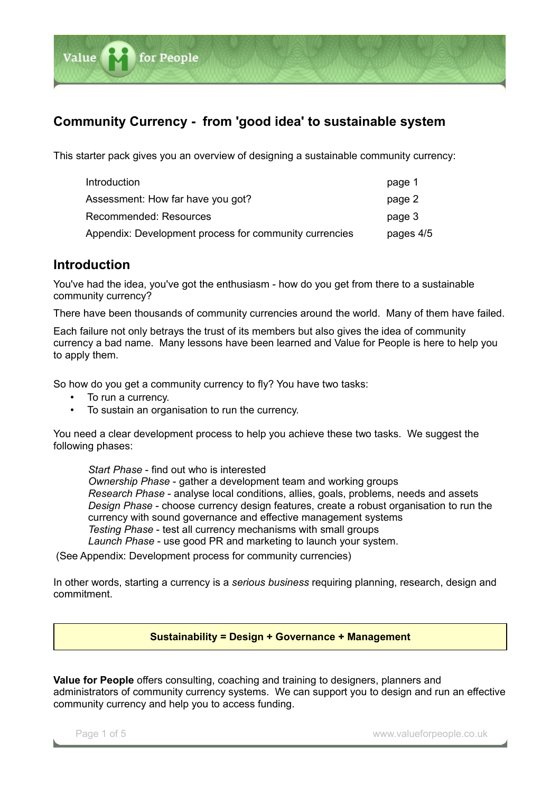

# **Community Currency - from 'good idea' to sustainable system**

This starter pack gives you an overview of designing a sustainable community currency:

| Introduction                                           | page 1    |
|--------------------------------------------------------|-----------|
| Assessment: How far have you got?                      | page 2    |
| Recommended: Resources                                 | page 3    |
| Appendix: Development process for community currencies | pages 4/5 |

### **Introduction**

You've had the idea, you've got the enthusiasm - how do you get from there to a sustainable community currency?

There have been thousands of community currencies around the world. Many of them have failed.

Each failure not only betrays the trust of its members but also gives the idea of community currency a bad name. Many lessons have been learned and Value for People is here to help you to apply them.

So how do you get a community currency to fly? You have two tasks:

- To run a currency.
- To sustain an organisation to run the currency.

You need a clear development process to help you achieve these two tasks. We suggest the following phases:

*Start Phase* - find out who is interested *Ownership Phase* - gather a development team and working groups *Research Phase* - analyse local conditions, allies, goals, problems, needs and assets *Design Phase* - choose currency design features, create a robust organisation to run the currency with sound governance and effective management systems *Testing Phase* - test all currency mechanisms with small groups *Launch Phase* - use good PR and marketing to launch your system.

(See Appendix: Development process for community currencies)

In other words, starting a currency is a *serious business* requiring planning, research, design and commitment.

### **Sustainability = Design + Governance + Management**

**Value for People** offers consulting, coaching and training to designers, planners and administrators of community currency systems. We can support you to design and run an effective community currency and help you to access funding.

Page 1 of 5 www.valueforpeople.co.uk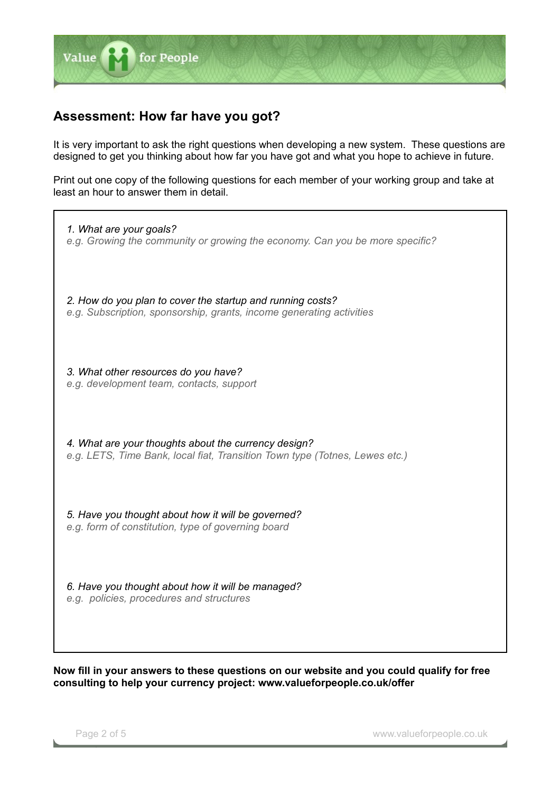

## **Assessment: How far have you got?**

It is very important to ask the right questions when developing a new system. These questions are designed to get you thinking about how far you have got and what you hope to achieve in future.

Print out one copy of the following questions for each member of your working group and take at least an hour to answer them in detail.

*1. What are your goals? e.g. Growing the community or growing the economy. Can you be more specific? 2. How do you plan to cover the startup and running costs? e.g. Subscription, sponsorship, grants, income generating activities 3. What other resources do you have? e.g. development team, contacts, support 4. What are your thoughts about the currency design? e.g. LETS, Time Bank, local fiat, Transition Town type (Totnes, Lewes etc.) 5. Have you thought about how it will be governed? e.g. form of constitution, type of governing board 6. Have you thought about how it will be managed? e.g. policies, procedures and structures*

**Now fill in your answers to these questions on our website and you could qualify for free consulting to help your currency project: www.valueforpeople.co.uk/offer**

Page 2 of 5 **black and 2** www.valueforpeople.co.uk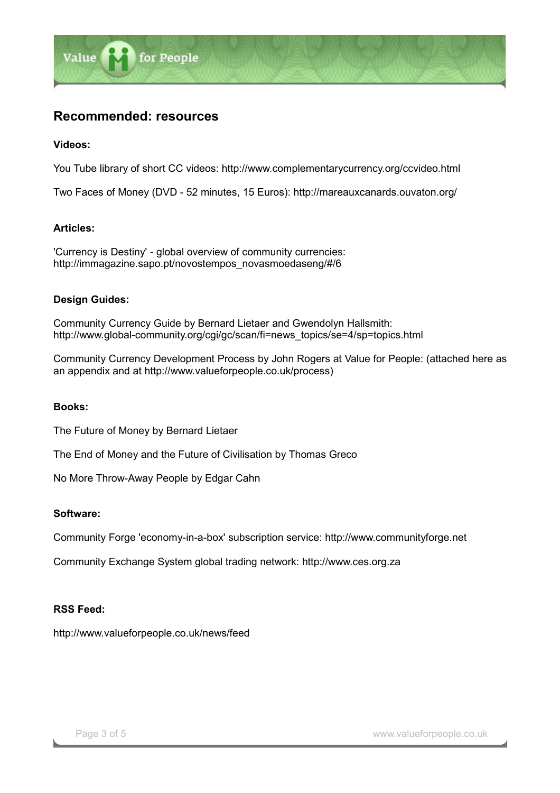

## **Recommended: resources**

#### **Videos:**

You Tube library of short CC videos: http://www.complementarycurrency.org/ccvideo.html

Two Faces of Money (DVD - 52 minutes, 15 Euros): http://mareauxcanards.ouvaton.org/

#### **Articles:**

'Currency is Destiny' - global overview of community currencies: http://immagazine.sapo.pt/novostempos\_novasmoedaseng/#/6

#### **Design Guides:**

Community Currency Guide by Bernard Lietaer and Gwendolyn Hallsmith: http://www.global-community.org/cgi/gc/scan/fi=news\_topics/se=4/sp=topics.html

Community Currency Development Process by John Rogers at Value for People: (attached here as an appendix and at http://www.valueforpeople.co.uk/process)

#### **Books:**

The Future of Money by Bernard Lietaer

The End of Money and the Future of Civilisation by Thomas Greco

No More Throw-Away People by Edgar Cahn

#### **Software:**

Community Forge 'economy-in-a-box' subscription service: http://www.communityforge.net

Community Exchange System global trading network: http://www.ces.org.za

#### **RSS Feed:**

http://www.valueforpeople.co.uk/news/feed

Page 3 of 5 and 2 www.valueforpeople.co.uk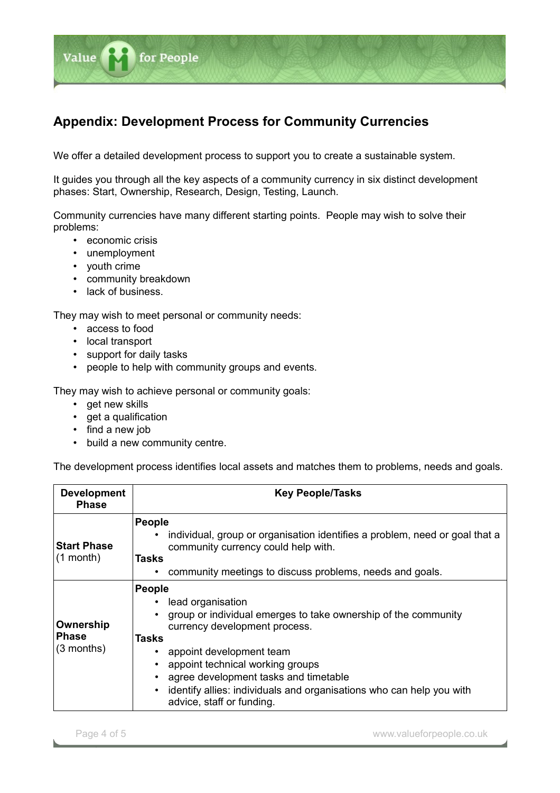

We offer a detailed development process to support you to create a sustainable system.

It guides you through all the key aspects of a community currency in six distinct development phases: Start, Ownership, Research, Design, Testing, Launch.

Community currencies have many different starting points. People may wish to solve their problems:

- economic crisis
- unemployment
- youth crime

Value

- community breakdown
- lack of business.

They may wish to meet personal or community needs:

for People

- access to food
- local transport
- support for daily tasks
- people to help with community groups and events.

They may wish to achieve personal or community goals:

- get new skills
- get a qualification
- find a new job
- build a new community centre.

The development process identifies local assets and matches them to problems, needs and goals.

| <b>Development</b><br><b>Phase</b>        | <b>Key People/Tasks</b>                                                                                                                                                                                                                                                                                                                                      |
|-------------------------------------------|--------------------------------------------------------------------------------------------------------------------------------------------------------------------------------------------------------------------------------------------------------------------------------------------------------------------------------------------------------------|
| <b>Start Phase</b><br>$(1$ month)         | People<br>individual, group or organisation identifies a problem, need or goal that a<br>community currency could help with.<br>Tasks<br>community meetings to discuss problems, needs and goals.                                                                                                                                                            |
| Ownership<br><b>Phase</b><br>$(3$ months) | <b>People</b><br>lead organisation<br>group or individual emerges to take ownership of the community<br>currency development process.<br>Tasks<br>appoint development team<br>appoint technical working groups<br>agree development tasks and timetable<br>identify allies: individuals and organisations who can help you with<br>advice, staff or funding. |

Page 4 of 5 **Page 4 of 5** www.valueforpeople.co.uk